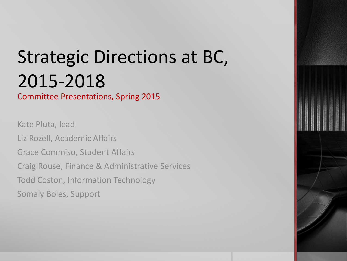# Strategic Directions at BC, 2015-2018

### Committee Presentations, Spring 2015

Kate Pluta, lead Liz Rozell, Academic Affairs Grace Commiso, Student Affairs Craig Rouse, Finance & Administrative Services Todd Coston, Information Technology Somaly Boles, Support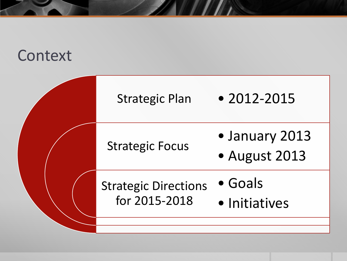## **Context**

| <b>Strategic Plan</b>                        | $\bullet$ 2012-2015              |
|----------------------------------------------|----------------------------------|
| <b>Strategic Focus</b>                       | • January 2013<br>• August 2013  |
| <b>Strategic Directions</b><br>for 2015-2018 | $\bullet$ Goals<br>• Initiatives |
|                                              |                                  |

**The Manufacturer**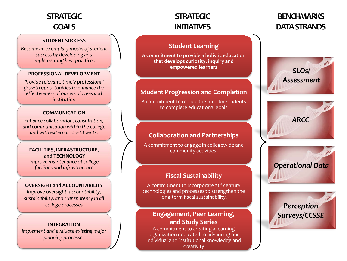### **STRATEGIC GOALS**

#### **STUDENT SUCCESS**

*Become an exemplary model of student success by developing and implementing best practices*

#### **PROFESSIONAL DEVELOPMENT**

*Provide relevant, timely professional growth opportunities to enhance the effectiveness of our employees and institution*

#### **COMMUNICATION**

*Enhance collaboration, consultation, and communication within the college and with external constituents.*

#### **FACILITIES, INFRASTRUCTURE, and TECHNOLOGY**

*Improve maintenance of college facilities and infrastructure*

#### **OVERSIGHT and ACCOUNTABILITY**

*Improve oversight, accountability, sustainability, and transparency in all college processes*

#### **INTEGRATION**

*Implement and evaluate existing major planning processes*

### **STRATEGIC INITIATIVES**

### **BENCHMARKS DATA STRANDS**

### **Student Learning**

**A commitment to provide a holistic education that develops curiosity, inquiry and empowered learners**

### **Student Progression and Completion**

A commitment to reduce the time for students to complete educational goals

### **Collaboration and Partnerships**

A commitment to engage in collegewide and community activities.

### **Fiscal Sustainability**

A commitment to incorporate 21st century technologies and processes to strengthen the long-term fiscal sustainability.

### **Engagement, Peer Learning, and Study Series**

A commitment to creating a learning organization dedicated to advancing our individual and institutional knowledge and creativity







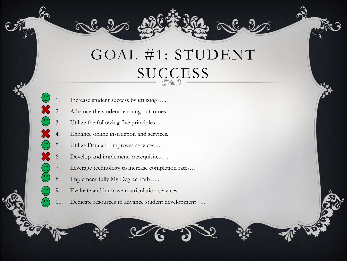## GOAL #1: STUDENT SUCCESS

- 1. Increase student success by utilizing…..
- 2. Advance the student learning outcomes….
- 3. Utilize the following five principles….

X

(••́

- Enhance online instruction and services.
- 5. Utilize Data and improves services….
- 6. Develop and implement prerequisites….
- 7. Leverage technology to increase completion rates…
- 8. Implement fully My Degree Path…..
- 9. Evaluate and improve matriculation services….
- 10. Dedicate resources to advance student development…..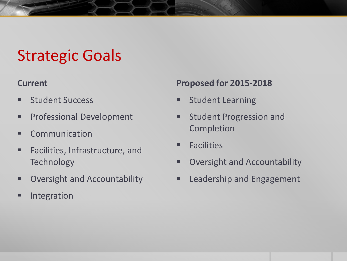## Strategic Goals

### **Current**

- **Student Success**
- **Professional Development**
- **E** Communication
- **Facilities, Infrastructure, and Technology**
- **Dimes Coversight and Accountability**
- **Integration**

## **Proposed for 2015-2018**

- **Student Learning**
- **Student Progression and** Completion
- **Example 1** Facilities
- **D** Oversight and Accountability
- **EXEC** Leadership and Engagement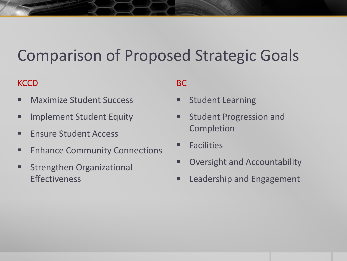## Comparison of Proposed Strategic Goals

### **KCCD**

- **Naximize Student Success**
- **F** Implement Student Equity
- **Finsure Student Access**
- **Enhance Community Connections**
- **Strengthen Organizational Effectiveness**

## BC

- **Student Learning**
- **EXECUTE:** Student Progression and Completion
- **Example 1** Facilities
- Oversight and Accountability
- **EXEC** Leadership and Engagement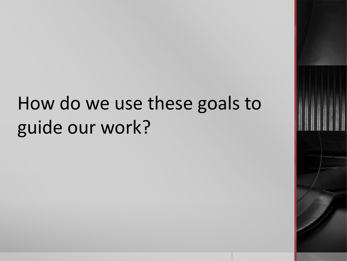# How do we use these goals to guide our work?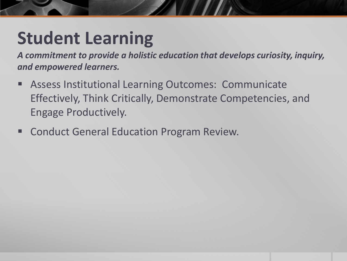# **Student Learning**

*A commitment to provide a holistic education that develops curiosity, inquiry, and empowered learners.*

- Assess Institutional Learning Outcomes: Communicate Effectively, Think Critically, Demonstrate Competencies, and Engage Productively.
- Conduct General Education Program Review.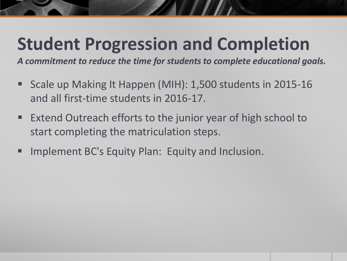# **Student Progression and Completion**

*A commitment to reduce the time for students to complete educational goals.*

- Scale up Making It Happen (MIH): 1,500 students in 2015-16 and all first-time students in 2016-17.
- Extend Outreach efforts to the junior year of high school to start completing the matriculation steps.
- Implement BC's Equity Plan: Equity and Inclusion.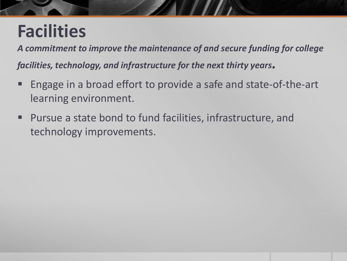# **Facilities**

*A commitment to improve the maintenance of and secure funding for college facilities, technology, and infrastructure for the next thirty years.*

- Engage in a broad effort to provide a safe and state-of-the-art learning environment.
- Pursue a state bond to fund facilities, infrastructure, and technology improvements.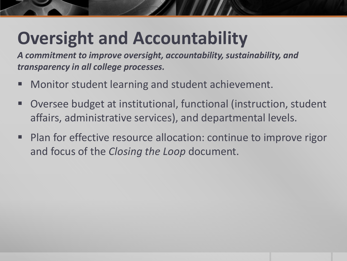# **Oversight and Accountability**

*A commitment to improve oversight, accountability, sustainability, and transparency in all college processes.*

- Monitor student learning and student achievement.
- Oversee budget at institutional, functional (instruction, student affairs, administrative services), and departmental levels.
- Plan for effective resource allocation: continue to improve rigor and focus of the *Closing the Loop* document.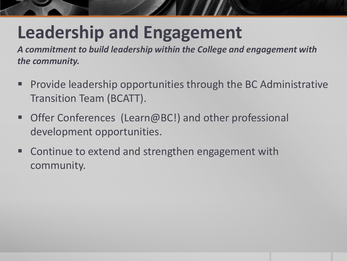# **Leadership and Engagement**

*A commitment to build leadership within the College and engagement with the community.*

- Provide leadership opportunities through the BC Administrative Transition Team (BCATT).
- Offer Conferences (Learn@BC!) and other professional development opportunities.
- Continue to extend and strengthen engagement with community.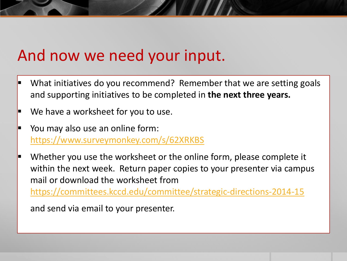## And now we need your input.

- What initiatives do you recommend? Remember that we are setting goals and supporting initiatives to be completed in **the next three years.**
- We have a worksheet for you to use.
- You may also use an online form: <https://www.surveymonkey.com/s/62XRKBS>
- Whether you use the worksheet or the online form, please complete it within the next week. Return paper copies to your presenter via campus mail or download the worksheet from <https://committees.kccd.edu/committee/strategic-directions-2014-15>

and send via email to your presenter.